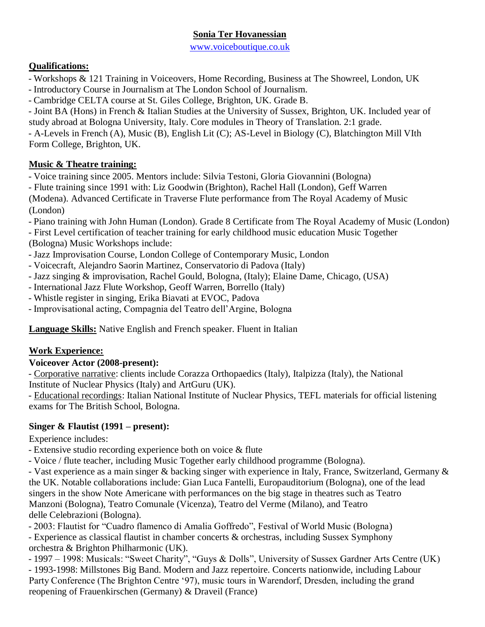### **Sonia Ter Hovanessian**

www.voiceboutique.co.uk

### **Qualifications:**

- Workshops & 121 Training in Voiceovers, Home Recording, Business at The Showreel, London, UK
- Introductory Course in Journalism at The London School of Journalism.
- Cambridge CELTA course at St. Giles College, Brighton, UK. Grade B.

- Joint BA (Hons) in French & Italian Studies at the University of Sussex, Brighton, UK. Included year of study abroad at Bologna University, Italy. Core modules in Theory of Translation. 2:1 grade.

- A-Levels in French (A), Music (B), English Lit (C); AS-Level in Biology (C), Blatchington Mill VIth Form College, Brighton, UK.

# **Music & Theatre training:**

- Voice training since 2005. Mentors include: Silvia Testoni, Gloria Giovannini (Bologna)

- Flute training since 1991 with: Liz Goodwin (Brighton), Rachel Hall (London), Geff Warren

(Modena). Advanced Certificate in Traverse Flute performance from The Royal Academy of Music (London)

- Piano training with John Human (London). Grade 8 Certificate from The Royal Academy of Music (London)

- First Level certification of teacher training for early childhood music education Music Together (Bologna) Music Workshops include:

- Jazz Improvisation Course, London College of Contemporary Music, London
- Voicecraft, Alejandro Saorin Martinez, Conservatorio di Padova (Italy)
- Jazz singing & improvisation, Rachel Gould, Bologna, (Italy); Elaine Dame, Chicago, (USA)
- International Jazz Flute Workshop, Geoff Warren, Borrello (Italy)
- Whistle register in singing, Erika Biavati at EVOC, Padova
- Improvisational acting, Compagnia del Teatro dell'Argine, Bologna

**Language Skills:** Native English and French speaker. Fluent in Italian

# **Work Experience:**

#### **Voiceover Actor (2008-present):**

- Corporative narrative: clients include Corazza Orthopaedics (Italy), Italpizza (Italy), the National Institute of Nuclear Physics (Italy) and ArtGuru (UK).

- Educational recordings: Italian National Institute of Nuclear Physics, TEFL materials for official listening exams for The British School, Bologna.

# **Singer & Flautist (1991 – present):**

Experience includes:

- Extensive studio recording experience both on voice & flute
- Voice / flute teacher, including Music Together early childhood programme (Bologna).

- Vast experience as a main singer & backing singer with experience in Italy, France, Switzerland, Germany & the UK. Notable collaborations include: Gian Luca Fantelli, Europauditorium (Bologna), one of the lead singers in the show Note Americane with performances on the big stage in theatres such as Teatro Manzoni (Bologna), Teatro Comunale (Vicenza), Teatro del Verme (Milano), and Teatro delle Celebrazioni (Bologna).

- 2003: Flautist for "Cuadro flamenco di Amalia Goffredo", Festival of World Music (Bologna)

- Experience as classical flautist in chamber concerts & orchestras, including Sussex Symphony orchestra & Brighton Philharmonic (UK).

- 1997 – 1998: Musicals: "Sweet Charity", "Guys & Dolls", University of Sussex Gardner Arts Centre (UK) - 1993-1998: Millstones Big Band. Modern and Jazz repertoire. Concerts nationwide, including Labour Party Conference (The Brighton Centre '97), music tours in Warendorf, Dresden, including the grand reopening of Frauenkirschen (Germany) & Draveil (France)